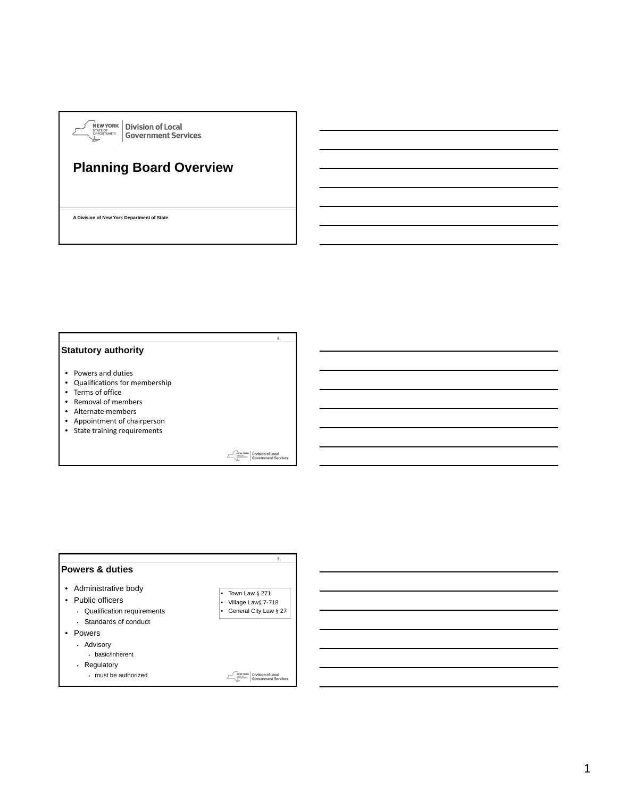

# **Planning Board Overview**

**A Division of New York Department of State**

### **Statutory authority**

- Powers and duties
- Qualifications for membership
- Terms of office
- Removal of members
- Alternate members
- Appointment of chairperson
- State training requirements

**MENVYORK** Division of Local<br>
Simplement Services

**2**



1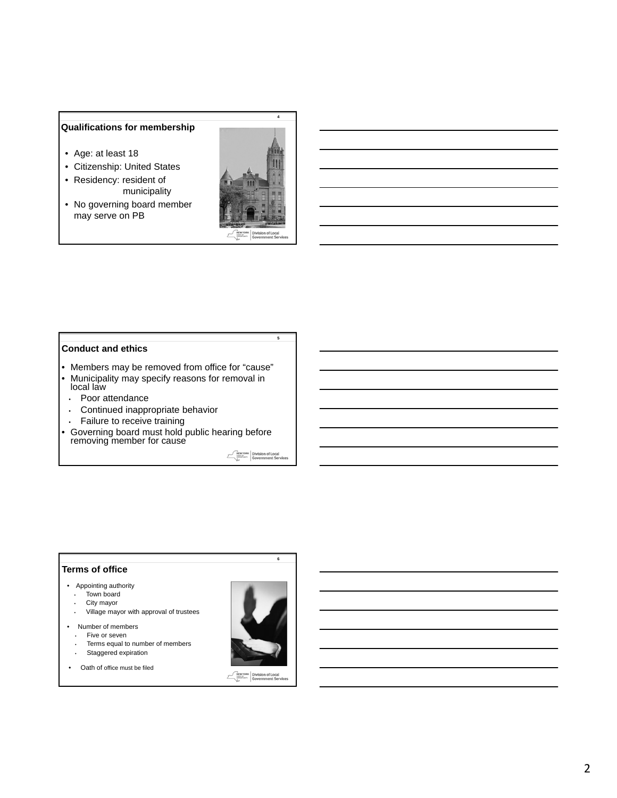## **Qualifications for membership**

- Age: at least 18
- Citizenship: United States
- Residency: resident of municipality
- No governing board member may serve on PB



**Conduct and ethics**

- Members may be removed from office for "cause"
- Municipality may specify reasons for removal in local law
- Poor attendance
- Continued inappropriate behavior
- Failure to receive training
- Governing board must hold public hearing before removing member for cause

MENTORK Division of Local<br>
System Government Services

**5**

#### **Terms of office**

- Appointing authority
	- Town board
	- City mayor
	- Village mayor with approval of trustees
- Number of members
	- Five or seven
	- Terms equal to number of members
	- Staggered expiration
- Oath of office must be filed



**6**

**MENTORK** Division of Local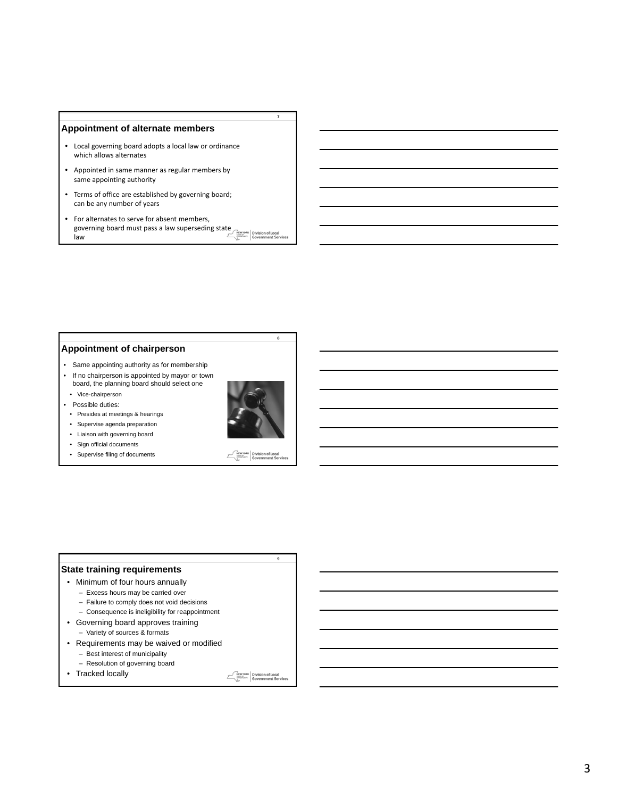#### **Appointment of alternate members**

- Local governing board adopts a local law or ordinance which allows alternates
- Appointed in same manner as regular members by same appointing authority
- Terms of office are established by governing board; can be any number of years
- For alternates to serve for absent members, governing board must pass a law superseding state **NEWYORK** Division of Local law

#### **Appointment of chairperson**

- Same appointing authority as for membership
- If no chairperson is appointed by mayor or town board, the planning board should select one
- Vice-chairperson
- Possible duties:
- Presides at meetings & hearings
- Supervise agenda preparation
- Liaison with governing board
- Sign official documents
- Supervise filing of documents



**8**

**7**

**MENTORK** Division of Local

**9**

### **State training requirements**

- Minimum of four hours annually
	- Excess hours may be carried over
	- Failure to comply does not void decisions
	- Consequence is ineligibility for reappointment
- Governing board approves training
	- Variety of sources & formats
- Requirements may be waived or modified
	- Best interest of municipality
- Resolution of governing board
- Tracked locally

**MENTORK** Division of Local

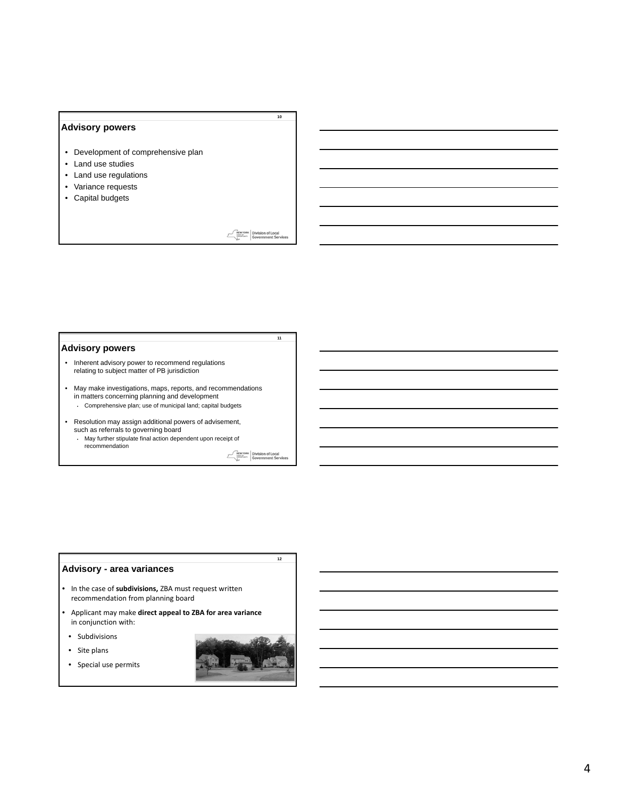### **Advisory powers**

- Development of comprehensive plan
- Land use studies
- Land use regulations
- Variance requests
- Capital budgets

**MEWYORK** Division of Local

**11**

**10**

#### **Advisory powers**

• Inherent advisory power to recommend regulations relating to subject matter of PB jurisdiction

• May make investigations, maps, reports, and recommendations in matters concerning planning and development

- Comprehensive plan; use of municipal land; capital budgets
- Resolution may assign additional powers of advisement, such as referrals to governing board
	- May further stipulate final action dependent upon receipt of recommendation

Division of Local<br>Government Servie  $\begin{picture}(120,140)(-0.000,0.000) \put(0,0){\vector(1,0){180}} \put(15,0){\vector(1,0){180}} \put(15,0){\vector(1,0){180}} \put(15,0){\vector(1,0){180}} \put(15,0){\vector(1,0){180}} \put(15,0){\vector(1,0){180}} \put(15,0){\vector(1,0){180}} \put(15,0){\vector(1,0){180}} \put(15,0){\vector(1,0){180}} \put(15,0){\vector(1,0){180}} \put(15$ 

**12**

## **Advisory - area variances**

- In the case of **subdivisions,** ZBA must request written recommendation from planning board
- Applicant may make **direct appeal to ZBA for area variance** in conjunction with:
- Subdivisions
- Site plans
- Special use permits

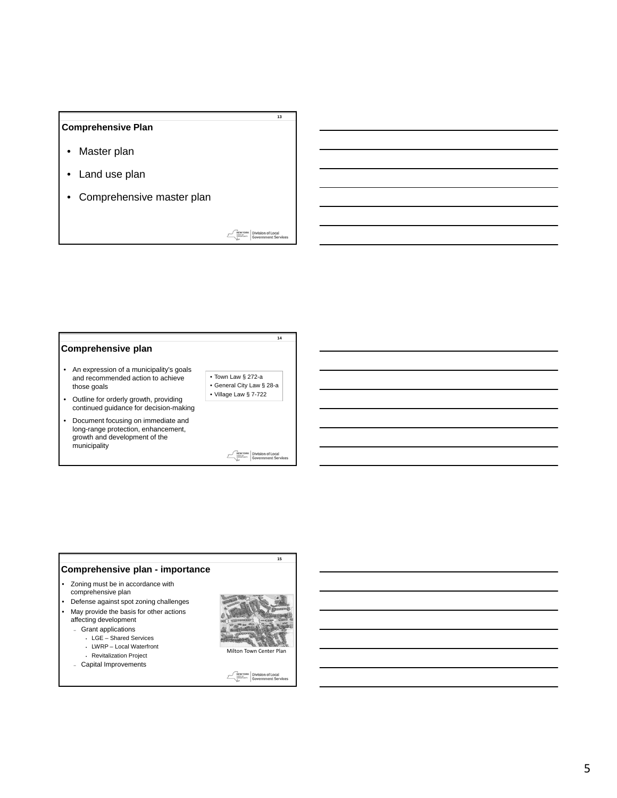### **Comprehensive Plan**

- Master plan
- Land use plan
- Comprehensive master plan

**MEWYORK** Division of Local

**14**

**13**

### **Comprehensive plan**

- An expression of a municipality's goals and recommended action to achieve those goals
- Outline for orderly growth, providing continued guidance for decision-making
- Document focusing on immediate and long-range protection, enhancement, growth and development of the municipality
- **NEW YORK** Division of Local<br> **Government Services**  $\mathcal{E}$

• Town Law § 272-a • General City Law § 28-a • Village Law § 7-722

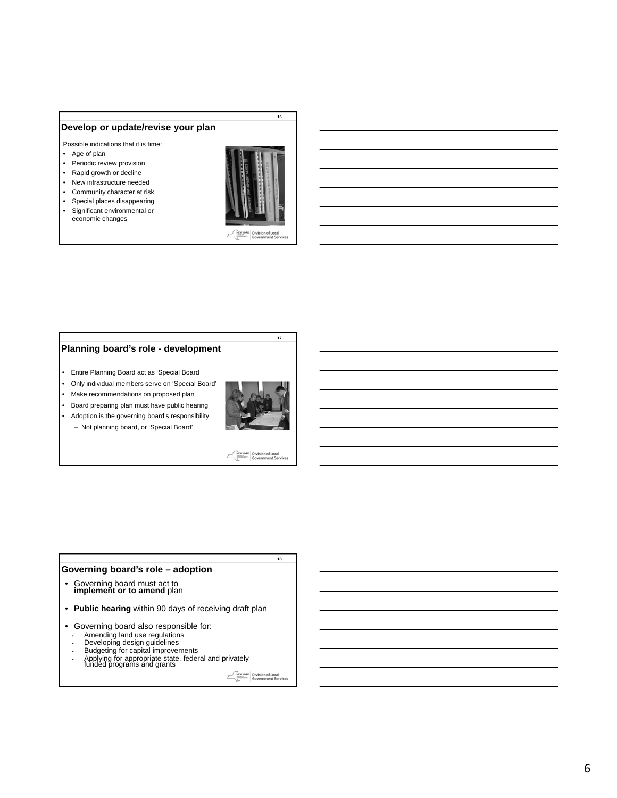### **Develop or update/revise your plan**

Possible indications that it is time:

- Age of plan
- Periodic review provision
- Rapid growth or decline
- New infrastructure needed
- Community character at risk
- Special places disappearing • Significant environmental or
- economic changes



Division of Local<br>Government Ser

**16**

### **Planning board's role - development**

- Entire Planning Board act as 'Special Board
- Only individual members serve on 'Special Board'
- Make recommendations on proposed plan
- Board preparing plan must have public hearing
- Adoption is the governing board's responsibility – Not planning board, or 'Special Board'



**17**

MENTORK Division of Local<br>
System Government Services

**18**

### **Governing board's role – adoption**

- Governing board must act to **implement or to amend** plan
- **Public hearing** within 90 days of receiving draft plan
- Governing board also responsible for:
	- Amending land use regulations
	- Developing design guidelines Budgeting for capital improvements
- Applying for appropriate state, federal and privately funded programs and grants
	-

**MEW YORK** Division of Local<br>
Sovernment Services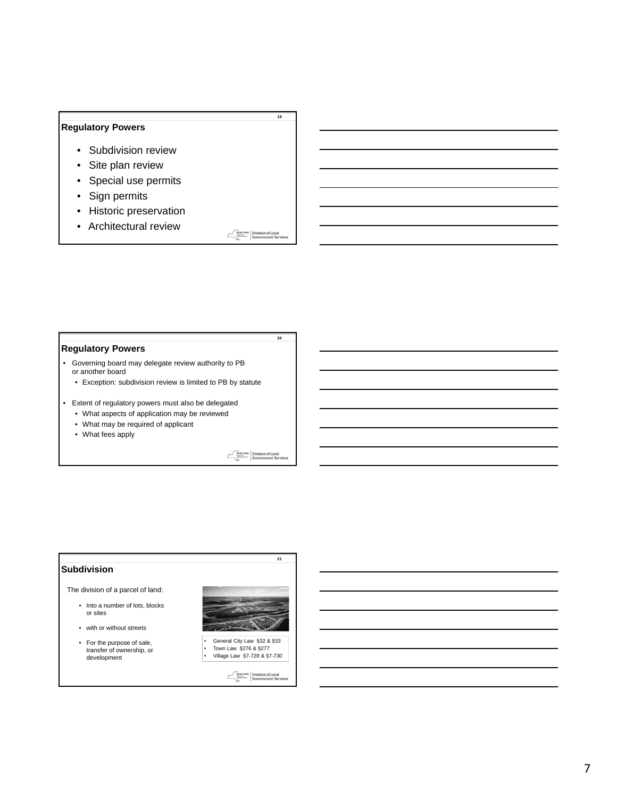## **Regulatory Powers**

- Subdivision review
- Site plan review
- Special use permits
- Sign permits
- Historic preservation
- Architectural review

**MEWYORK** Division of Local

**20**

**19**

### **Regulatory Powers**

- Governing board may delegate review authority to PB or another board
	- Exception: subdivision review is limited to PB by statute
- Extent of regulatory powers must also be delegated
	- What aspects of application may be reviewed
	- What may be required of applicant
	- What fees apply

**MEWYORK** Division of Local<br>MARGAREK Government Services

**21**

### **Subdivision**

#### The division of a parcel of land:

- Into a number of lots, blocks or sites
- with or without streets
- For the purpose of sale, transfer of ownership, or development



• General City Law §32 & §33 • Town Law §276 & §277 • Village Law §7-728 & §7-730

**MEW YORK Division of Local**<br>
Sovernment Service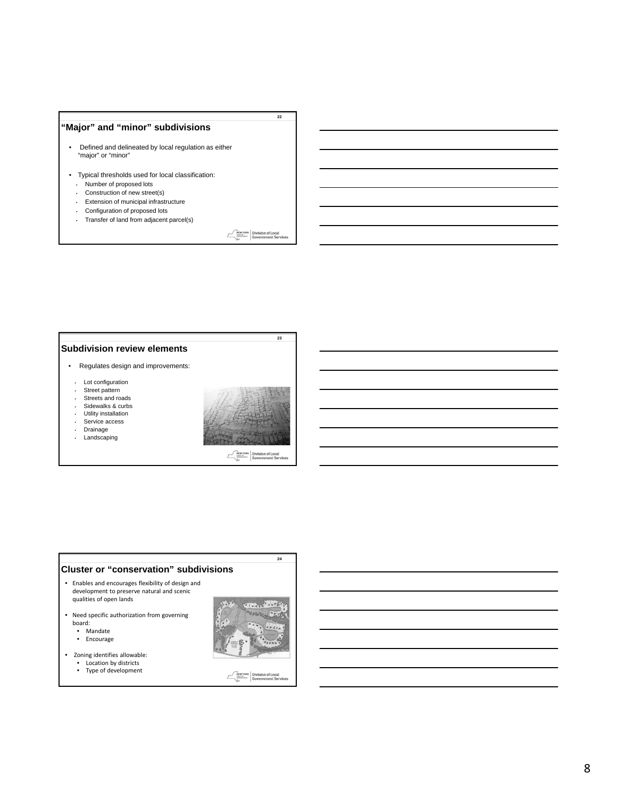## **"Major" and "minor" subdivisions**

- Defined and delineated by local regulation as either "major" or "minor"
- Typical thresholds used for local classification:
- Number of proposed lots
- Construction of new street(s)
- Extension of municipal infrastructure
- Configuration of proposed lots
- Transfer of land from adjacent parcel(s)

**MEWYORK** Division of Local

**23**

**22**

#### **Subdivision review elements**

- Regulates design and improvements:
- Lot configuration
- Street pattern
- Streets and roads
- Sidewalks & curbs • Utility installation
- Service access
- Drainage
- Landscaping



**MEWYORK** Division of Local

#### **Cluster or "conservation" subdivisions** • Enables and encourages flexibility of design and development to preserve natural and scenic qualities of open lands • Need specific authorization from governing board: • Mandate

- Encourage
- Zoning identifies allowable: Location by districts
	- Type of development



**24**

**MEW YORK** Division of Local<br>
Sovernment Services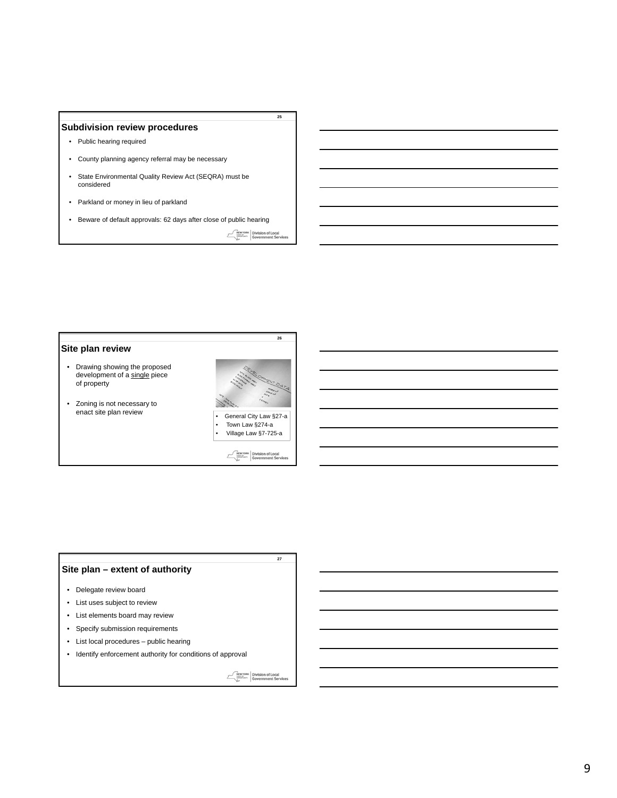#### **Subdivision review procedures**

- Public hearing required
- County planning agency referral may be necessary
- State Environmental Quality Review Act (SEQRA) must be considered
- Parkland or money in lieu of parkland
- Beware of default approvals: 62 days after close of public hearing

**MENYORK** Division of Local<br> *Division* of Local<br>
Government Services

**26**

**25**

### **Site plan review**

- Drawing showing the proposed development of a single piece of property
- Zoning is not necessary to



• Town Law §274-a • Village Law §7-725-a

> Division of Local<br>Government Serv  $\mathcal{E}$

> > **27**

### **Site plan – extent of authority**

- Delegate review board
- List uses subject to review
- List elements board may review
- Specify submission requirements
- List local procedures public hearing
- Identify enforcement authority for conditions of approval

**MEW YORK** Division of Local<br>
Sovernment Services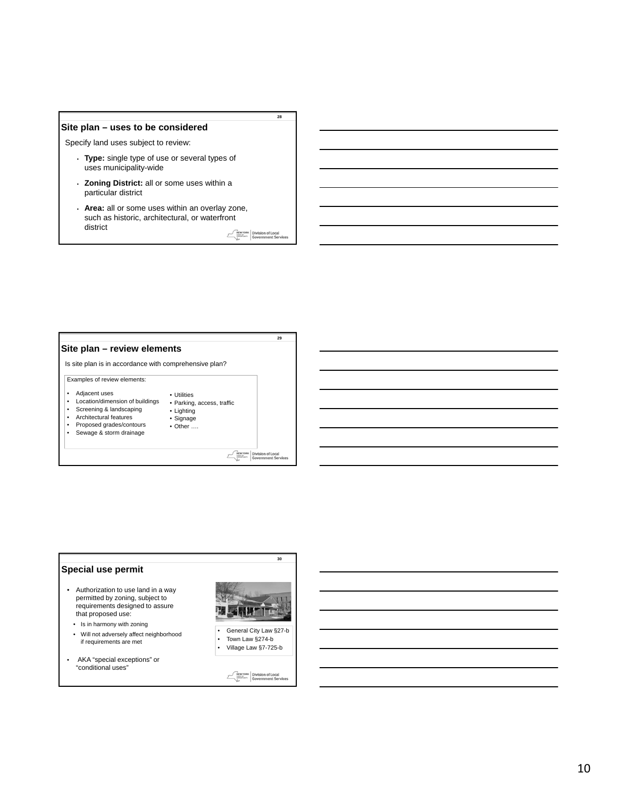#### **Site plan – uses to be considered**

Specify land uses subject to review:

- **Type:** single type of use or several types of uses municipality-wide
- **Zoning District:** all or some uses within a particular district
- **Area:** all or some uses within an overlay zone, such as historic, architectural, or waterfront district

**MEWYORK** Division of Local

**29**

**28**

### **Site plan – review elements**

Is site plan is in accordance with comprehensive plan?

#### Examples of review elements:

- Adjacent uses<br>• Location/dimen
- Location/dimension of buildings • Parking, access, traffic • Lighting

• Utilities

• Signage • Other ....

- Screening & landscaping
- Architectural features • Proposed grades/contours
- Sewage & storm drainage
- 

**MEWYORK** Division of Local



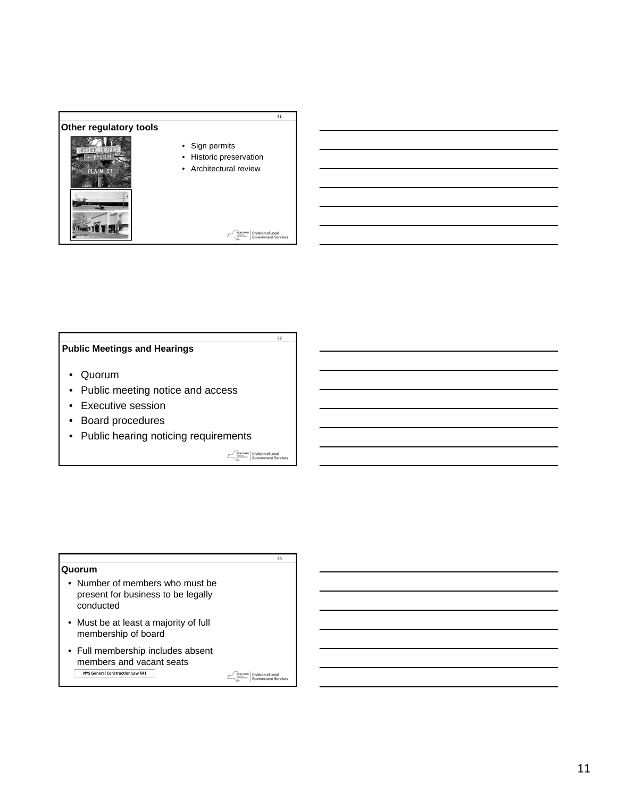

## **Public Meetings and Hearings**

- Quorum
- Public meeting notice and access
- Executive session
- Board procedures
- Public hearing noticing requirements

NEWYORK Division of Local<br>
Suppose Government Services

**33**

**32**

#### **Quorum**

- Number of members who must be present for business to be legally conducted
- Must be at least a majority of full membership of board
- Full membership includes absent members and vacant seats **NYS General Construction Law §41**

NEWYORK Division of Local<br>
Sovernment Service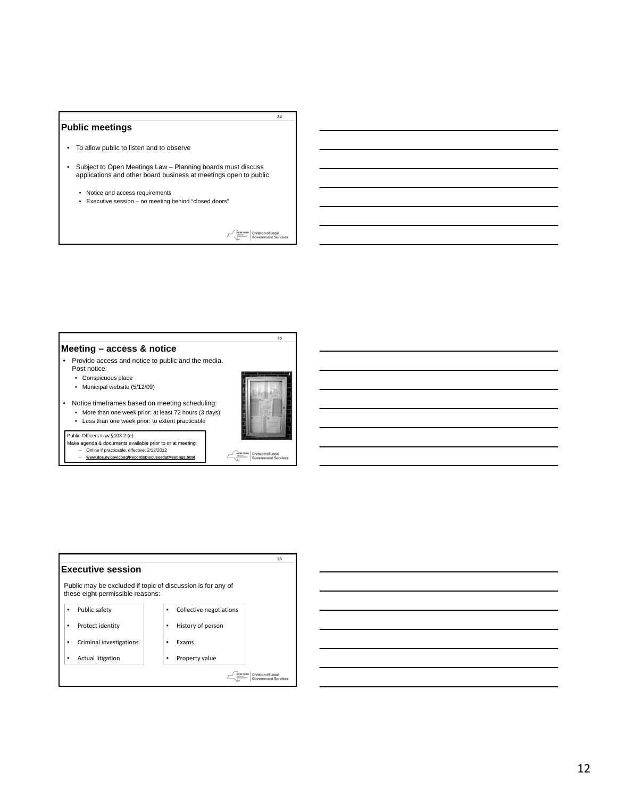#### **Public meetings**

- To allow public to listen and to observe
- Subject to Open Meetings Law Planning boards must discuss applications and other board business at meetings open to public
	- Notice and access requirements
	- Executive session no meeting behind "closed doors"

**MEWYORK** Division of Local

**34**

#### **Meeting – access & notice**

- Provide access and notice to public and the media. Post notice:
	- Conspicuous place
	- Municipal website (5/12/09)
- Notice timeframes based on meeting scheduling: • More than one week prior: at least 72 hours (3 days) • Less than one week prior: to extent practicable



**MEWYORK** Division of Local<br> **Government Services** 

 $\mathcal{E}$ 

**35**

#### Public Officers Law §103.2 (e)

- Make agenda & documents available prior to or at meeting: Online if practicable; effective: 2/12/2012
	- **www.dos.ny.gov/coog/RecordsDiscussedatMeetings.html**

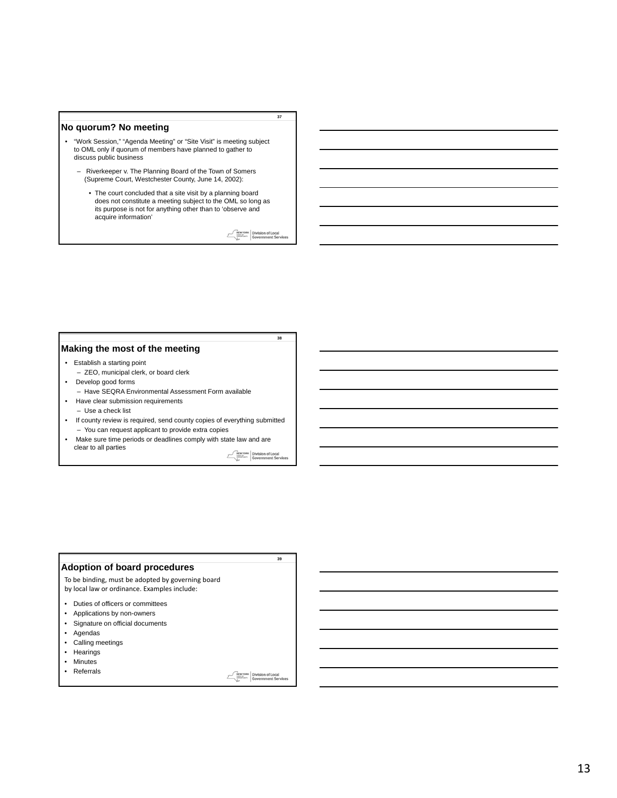#### **No quorum? No meeting**

- "Work Session," "Agenda Meeting" or "Site Visit" is meeting subject to OML only if quorum of members have planned to gather to discuss public business
	- Riverkeeper v. The Planning Board of the Town of Somers (Supreme Court, Westchester County, June 14, 2002):
		- The court concluded that a site visit by a planning board does not constitute a meeting subject to the OML so long as its purpose is not for anything other than to 'observe and acquire information'

**MEWYORK** Division of Local

**38**

**37**

#### **Making the most of the meeting**

- Establish a starting point
	- ZEO, municipal clerk, or board clerk
- Develop good forms
	- Have SEQRA Environmental Assessment Form available
- Have clear submission requirements – Use a check list
- If county review is required, send county copies of everything submitted – You can request applicant to provide extra copies
- Make sure time periods or deadlines comply with state law and are clear to all parties

**MEWYORK** Division of Local<br> **SANCE COVERNMENT COVERNMENT Services** 

**39**

### **Adoption of board procedures**

To be binding, must be adopted by governing board by local law or ordinance. Examples include:

- Duties of officers or committees
- Applications by non-owners
- Signature on official documents
- Agendas
- Calling meetings
- Hearings
- Minutes
- Referrals

**MENTORK** Division of Local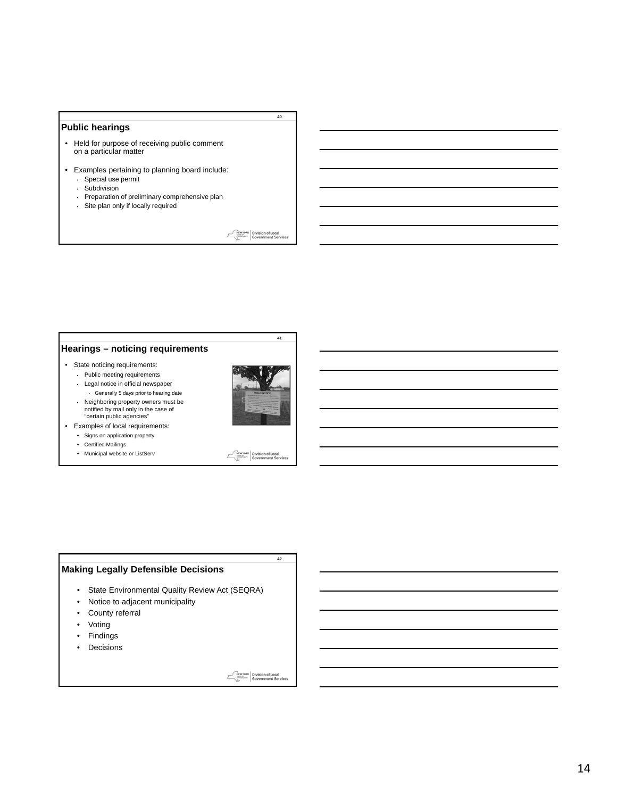### **Public hearings**

- Held for purpose of receiving public comment on a particular matter
- Examples pertaining to planning board include:
	- Special use permit
	- Subdivision
	- Preparation of preliminary comprehensive plan
	- Site plan only if locally required

**MEWYORK** Division of Local

**40**

### **Hearings – noticing requirements**

- State noticing requirements:
	- Public meeting requirements • Legal notice in official newspaper





**41**

**42**

- "certain public agencies" • Examples of local requirements:
	- Signs on application property
	- Certified Mailings
	- Municipal website or ListServ



#### **Making Legally Defensible Decisions**

- State Environmental Quality Review Act (SEQRA)
- Notice to adjacent municipality
- County referral
- Voting
- Findings
- Decisions

**MEWYORK** Division of Local

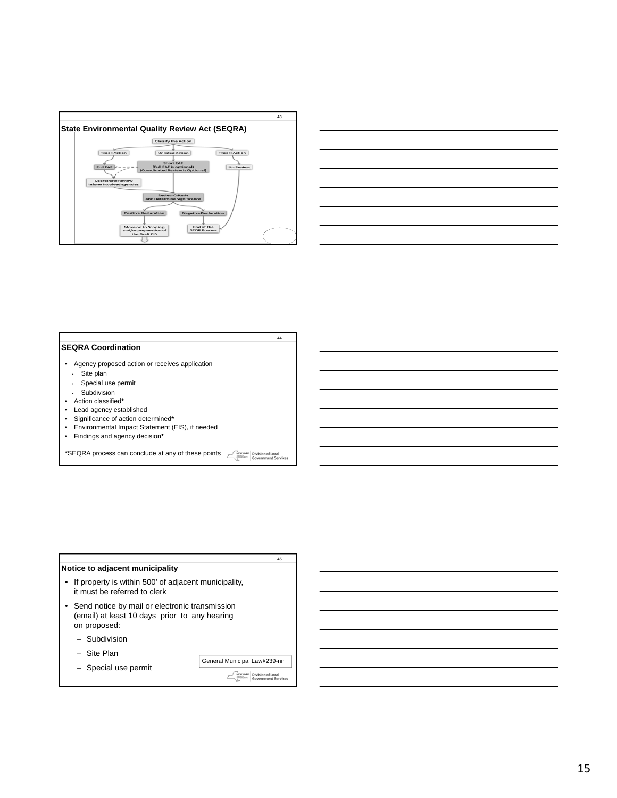



#### **SEQRA Coordination**

- Agency proposed action or receives application
	- Site plan
	- Special use permit
	- Subdivision
- Action classified**\***
- Lead agency established
- Significance of action determined**\***
- Environmental Impact Statement (EIS), if needed
- Findings and agency decision**\***

**\***SEQRA process can conclude at any of these points **NEW YORK** Division of Local

**44**

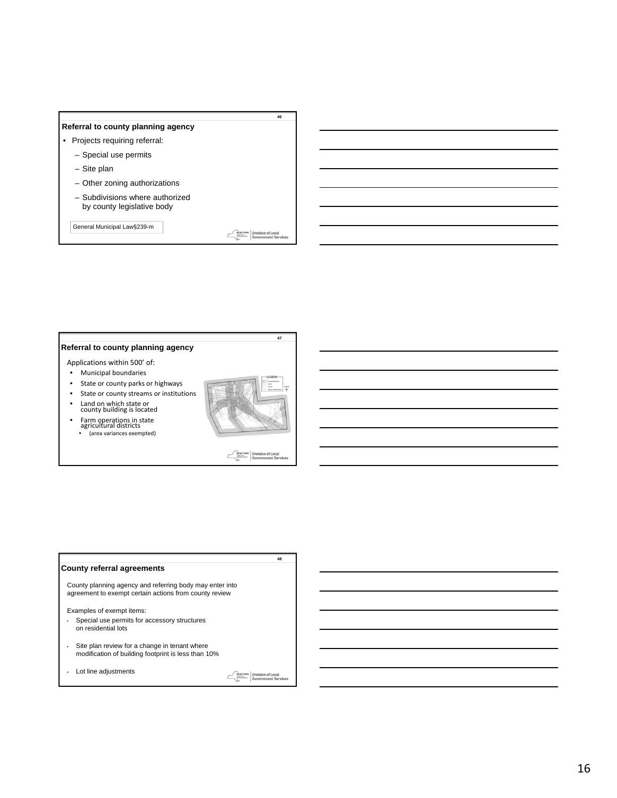### **Referral to county planning agency**

- Projects requiring referral:
	- Special use permits
	- Site plan
	- Other zoning authorizations
	- Subdivisions where authorized by county legislative body

General Municipal Law§239-m

**MEWYORK** Division of Local

**47**

**46**

#### **Referral to county planning agency**

- Applications within 500' of:
- Municipal boundaries
- State or county parks or highways
- State or county streams or institutions
- Land on which state or county building is located
- Farm operations in state agricultural districts • (area variances exempted)



**NEW YORK** Division of Local  $\mathcal E$ 

**48**

#### **County referral agreements**

County planning agency and referring body may enter into agreement to exempt certain actions from county review

Examples of exempt items:

- Special use permits for accessory structures on residential lots
- Site plan review for a change in tenant where modification of building footprint is less than 10%
- Lot line adjustments

**MEW YORK** Division of Local<br> **Government Service**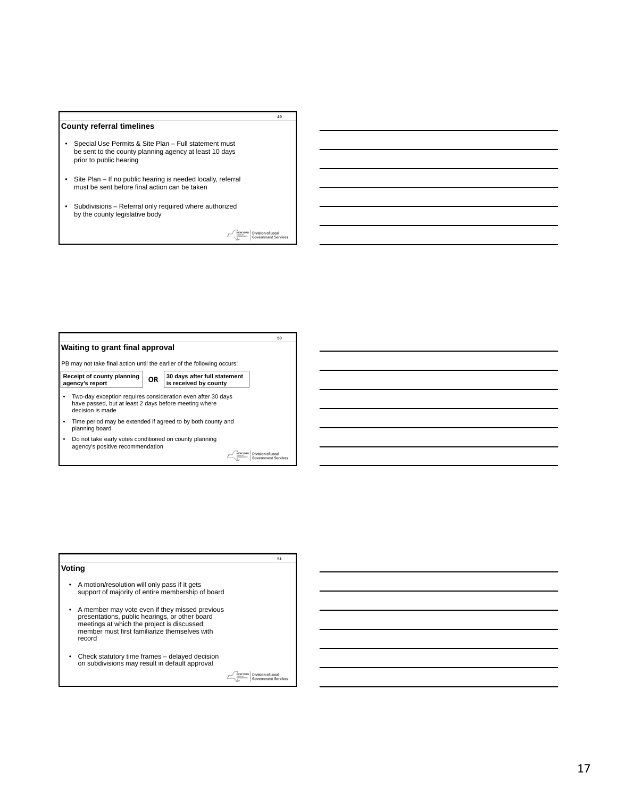#### **County referral timelines**

- Special Use Permits & Site Plan Full statement must be sent to the county planning agency at least 10 days prior to public hearing
- Site Plan If no public hearing is needed locally, referral must be sent before final action can be taken
- Subdivisions Referral only required where authorized by the county legislative body

**MEWYORK** Division of Local

**49**



|                                                                                                                                                                                                              | 51                         |
|--------------------------------------------------------------------------------------------------------------------------------------------------------------------------------------------------------------|----------------------------|
| Voting                                                                                                                                                                                                       |                            |
| • A motion/resolution will only pass if it gets<br>support of majority of entire membership of board                                                                                                         |                            |
| • A member may vote even if they missed previous<br>presentations, public hearings, or other board<br>meetings at which the project is discussed;<br>member must first familiarize themselves with<br>record |                            |
| Check statutory time frames – delayed decision<br>on subdivisions may result in default approval                                                                                                             |                            |
|                                                                                                                                                                                                              | <b>Government Services</b> |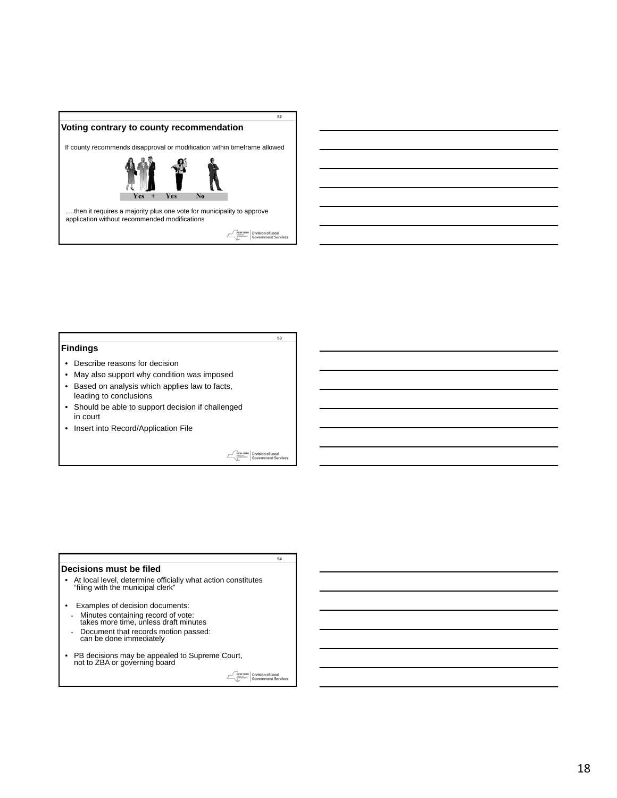

### **Findings**

- Describe reasons for decision
- May also support why condition was imposed
- Based on analysis which applies law to facts, leading to conclusions
- Should be able to support decision if challenged in court
- Insert into Record/Application File

Division of Local<br>Government Serv

**54**

**53**

#### **Decisions must be filed**

- At local level, determine officially what action constitutes "filing with the municipal clerk"
- Examples of decision documents: • Minutes containing record of vote: takes more time, unless draft minutes • Document that records motion passed: can be done immediately
- PB decisions may be appealed to Supreme Court, not to ZBA or governing board

NEWYORK Division of Local<br>Executive Government Service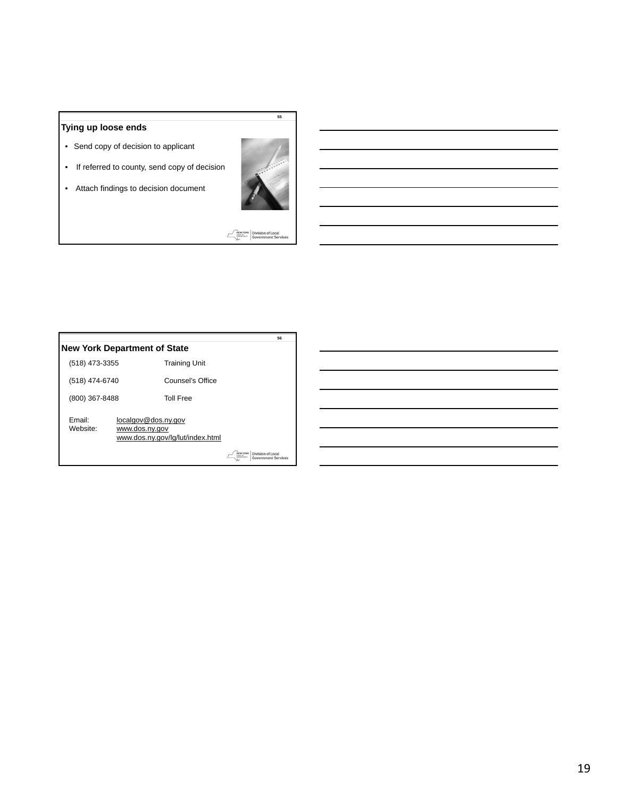## **Tying up loose ends**

- Send copy of decision to applicant
- If referred to county, send copy of decision

• Attach findings to decision document



**55**

**MENYORK** Division of Local<br>Biography Government Services

|                                     |                                       |                                  |                | 56                                              |
|-------------------------------------|---------------------------------------|----------------------------------|----------------|-------------------------------------------------|
| <b>New York Department of State</b> |                                       |                                  |                |                                                 |
| (518) 473-3355                      |                                       | <b>Training Unit</b>             |                |                                                 |
| (518) 474-6740                      |                                       | Counsel's Office                 |                |                                                 |
| (800) 367-8488                      |                                       | <b>Toll Free</b>                 |                |                                                 |
| Fmail:<br>Website:                  | localgov@dos.ny.gov<br>www.dos.ny.gov | www.dos.ny.gov/lg/lut/index.html |                |                                                 |
|                                     |                                       |                                  | <b>TATE OF</b> | Division of Local<br><b>Government Services</b> |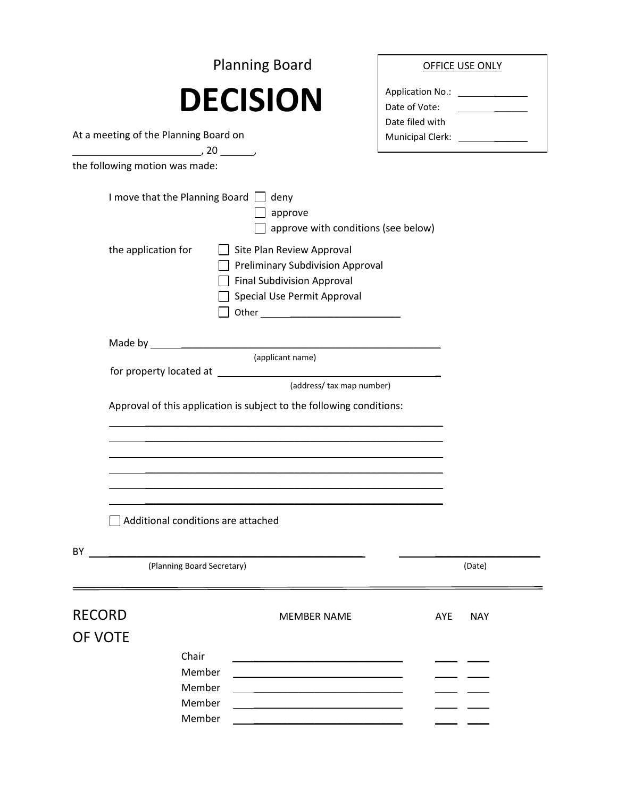|                                                                                                       | <b>Planning Board</b>                                                                                                                    |                                                                        | <b>OFFICE USE ONLY</b>                                                                                                                                                                                                               |
|-------------------------------------------------------------------------------------------------------|------------------------------------------------------------------------------------------------------------------------------------------|------------------------------------------------------------------------|--------------------------------------------------------------------------------------------------------------------------------------------------------------------------------------------------------------------------------------|
| At a meeting of the Planning Board on                                                                 | <b>DECISION</b>                                                                                                                          | Date of Vote:<br>Date filed with<br>Municipal Clerk: _________________ | <u>and the community of the community of the community of the community of the community of the community of the community of the community of the community of the community of the community of the community of the community</u> |
| $\overbrace{\hspace{2.5cm}}^{20}$ $\overbrace{\hspace{2.5cm}}^{20}$<br>the following motion was made: |                                                                                                                                          |                                                                        |                                                                                                                                                                                                                                      |
| I move that the Planning Board $\Box$ deny                                                            | approve<br>$\Box$ approve with conditions (see below)                                                                                    |                                                                        |                                                                                                                                                                                                                                      |
| the application for                                                                                   | Site Plan Review Approval<br><b>Preliminary Subdivision Approval</b><br><b>Final Subdivision Approval</b><br>Special Use Permit Approval |                                                                        |                                                                                                                                                                                                                                      |
|                                                                                                       | (applicant name)                                                                                                                         |                                                                        |                                                                                                                                                                                                                                      |
| for property located at                                                                               | <u> 1980 - Johann Barn, fransk politik (d. 1980)</u><br>(address/ tax map number)                                                        |                                                                        |                                                                                                                                                                                                                                      |
|                                                                                                       | Approval of this application is subject to the following conditions:                                                                     |                                                                        |                                                                                                                                                                                                                                      |
| Additional conditions are attached                                                                    |                                                                                                                                          |                                                                        |                                                                                                                                                                                                                                      |
| BY<br><u> 1989 - John Stein, Amerikaansk politiker (</u><br>(Planning Board Secretary)                |                                                                                                                                          |                                                                        | (Date)                                                                                                                                                                                                                               |
| <b>RECORD</b><br>OF VOTE<br>Chair<br>Member                                                           | <b>MEMBER NAME</b>                                                                                                                       | AYE                                                                    | <b>NAY</b>                                                                                                                                                                                                                           |
| Member<br>Member<br>Member                                                                            |                                                                                                                                          |                                                                        |                                                                                                                                                                                                                                      |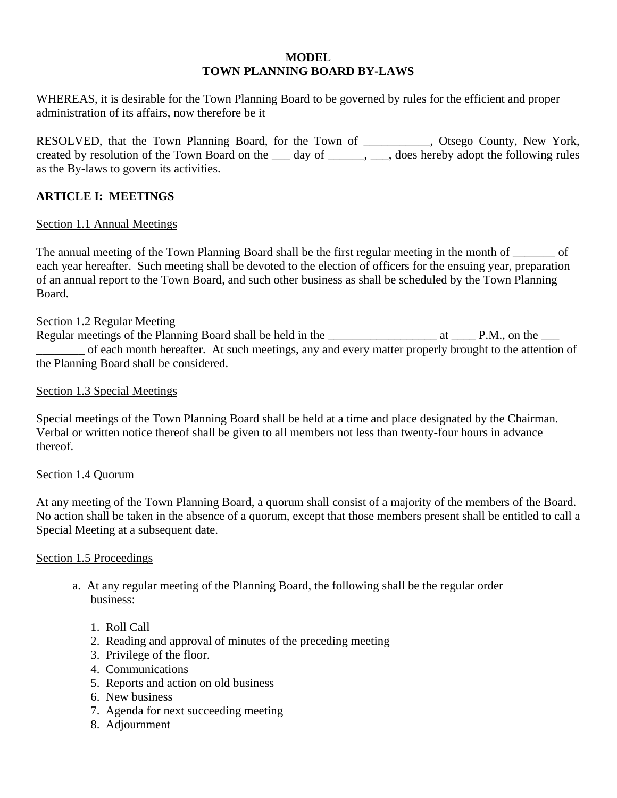## **MODEL TOWN PLANNING BOARD BY-LAWS**

WHEREAS, it is desirable for the Town Planning Board to be governed by rules for the efficient and proper administration of its affairs, now therefore be it

RESOLVED, that the Town Planning Board, for the Town of \_\_\_\_\_\_\_\_\_\_\_, Otsego County, New York, created by resolution of the Town Board on the \_\_\_ day of \_\_\_\_\_, \_\_\_, does hereby adopt the following rules as the By-laws to govern its activities.

## **ARTICLE I: MEETINGS**

## Section 1.1 Annual Meetings

The annual meeting of the Town Planning Board shall be the first regular meeting in the month of \_\_\_\_\_\_\_ of each year hereafter. Such meeting shall be devoted to the election of officers for the ensuing year, preparation of an annual report to the Town Board, and such other business as shall be scheduled by the Town Planning Board.

## Section 1.2 Regular Meeting

Regular meetings of the Planning Board shall be held in the \_\_\_\_\_\_\_\_\_\_\_\_\_\_\_\_\_\_\_\_\_\_ at \_\_\_\_\_ P.M., on the \_\_\_\_ of each month hereafter. At such meetings, any and every matter properly brought to the attention of the Planning Board shall be considered.

## Section 1.3 Special Meetings

Special meetings of the Town Planning Board shall be held at a time and place designated by the Chairman. Verbal or written notice thereof shall be given to all members not less than twenty-four hours in advance thereof.

## Section 1.4 Quorum

At any meeting of the Town Planning Board, a quorum shall consist of a majority of the members of the Board. No action shall be taken in the absence of a quorum, except that those members present shall be entitled to call a Special Meeting at a subsequent date.

## Section 1.5 Proceedings

- a. At any regular meeting of the Planning Board, the following shall be the regular order business:
	- 1. Roll Call
	- 2. Reading and approval of minutes of the preceding meeting
	- 3. Privilege of the floor.
	- 4. Communications
	- 5. Reports and action on old business
	- 6. New business
	- 7. Agenda for next succeeding meeting
	- 8. Adjournment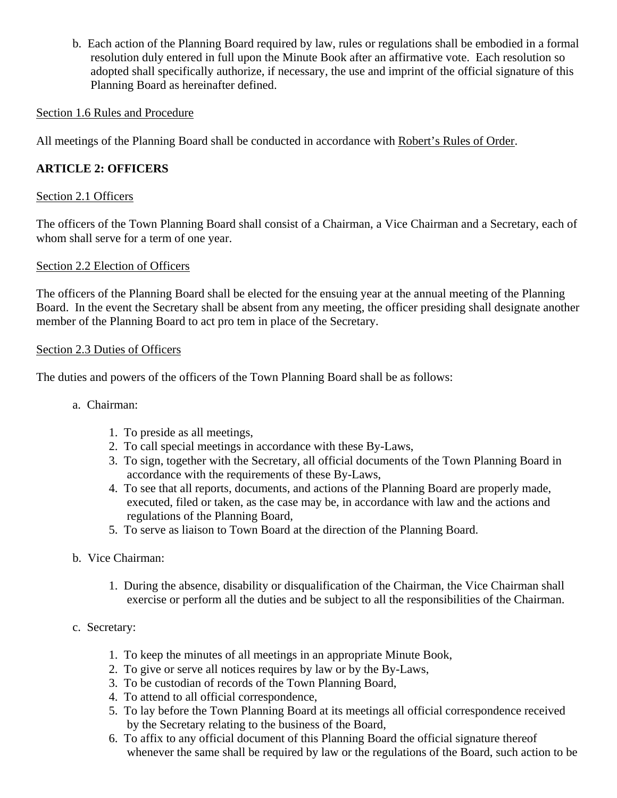b. Each action of the Planning Board required by law, rules or regulations shall be embodied in a formal resolution duly entered in full upon the Minute Book after an affirmative vote. Each resolution so adopted shall specifically authorize, if necessary, the use and imprint of the official signature of this Planning Board as hereinafter defined.

## Section 1.6 Rules and Procedure

All meetings of the Planning Board shall be conducted in accordance with Robert's Rules of Order.

# **ARTICLE 2: OFFICERS**

# Section 2.1 Officers

The officers of the Town Planning Board shall consist of a Chairman, a Vice Chairman and a Secretary, each of whom shall serve for a term of one year.

# Section 2.2 Election of Officers

The officers of the Planning Board shall be elected for the ensuing year at the annual meeting of the Planning Board. In the event the Secretary shall be absent from any meeting, the officer presiding shall designate another member of the Planning Board to act pro tem in place of the Secretary.

## Section 2.3 Duties of Officers

The duties and powers of the officers of the Town Planning Board shall be as follows:

- a. Chairman:
	- 1. To preside as all meetings,
	- 2. To call special meetings in accordance with these By-Laws,
	- 3. To sign, together with the Secretary, all official documents of the Town Planning Board in accordance with the requirements of these By-Laws,
	- 4. To see that all reports, documents, and actions of the Planning Board are properly made, executed, filed or taken, as the case may be, in accordance with law and the actions and regulations of the Planning Board,
	- 5. To serve as liaison to Town Board at the direction of the Planning Board.
- b. Vice Chairman:
	- 1. During the absence, disability or disqualification of the Chairman, the Vice Chairman shall exercise or perform all the duties and be subject to all the responsibilities of the Chairman.
- c. Secretary:
	- 1. To keep the minutes of all meetings in an appropriate Minute Book,
	- 2. To give or serve all notices requires by law or by the By-Laws,
	- 3. To be custodian of records of the Town Planning Board,
	- 4. To attend to all official correspondence,
	- 5. To lay before the Town Planning Board at its meetings all official correspondence received by the Secretary relating to the business of the Board,
	- 6. To affix to any official document of this Planning Board the official signature thereof whenever the same shall be required by law or the regulations of the Board, such action to be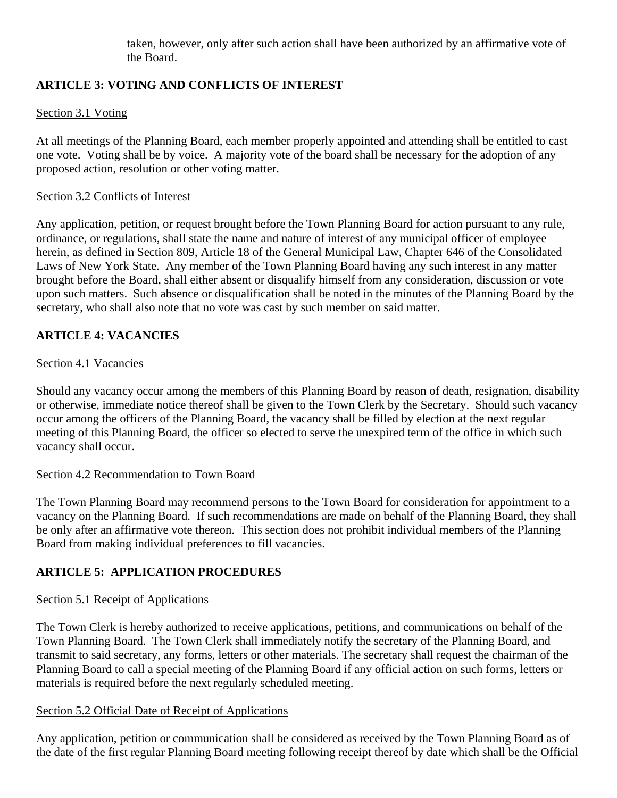taken, however, only after such action shall have been authorized by an affirmative vote of the Board.

# **ARTICLE 3: VOTING AND CONFLICTS OF INTEREST**

# Section 3.1 Voting

At all meetings of the Planning Board, each member properly appointed and attending shall be entitled to cast one vote. Voting shall be by voice. A majority vote of the board shall be necessary for the adoption of any proposed action, resolution or other voting matter.

## Section 3.2 Conflicts of Interest

Any application, petition, or request brought before the Town Planning Board for action pursuant to any rule, ordinance, or regulations, shall state the name and nature of interest of any municipal officer of employee herein, as defined in Section 809, Article 18 of the General Municipal Law, Chapter 646 of the Consolidated Laws of New York State. Any member of the Town Planning Board having any such interest in any matter brought before the Board, shall either absent or disqualify himself from any consideration, discussion or vote upon such matters. Such absence or disqualification shall be noted in the minutes of the Planning Board by the secretary, who shall also note that no vote was cast by such member on said matter.

# **ARTICLE 4: VACANCIES**

## Section 4.1 Vacancies

Should any vacancy occur among the members of this Planning Board by reason of death, resignation, disability or otherwise, immediate notice thereof shall be given to the Town Clerk by the Secretary. Should such vacancy occur among the officers of the Planning Board, the vacancy shall be filled by election at the next regular meeting of this Planning Board, the officer so elected to serve the unexpired term of the office in which such vacancy shall occur.

## Section 4.2 Recommendation to Town Board

The Town Planning Board may recommend persons to the Town Board for consideration for appointment to a vacancy on the Planning Board. If such recommendations are made on behalf of the Planning Board, they shall be only after an affirmative vote thereon. This section does not prohibit individual members of the Planning Board from making individual preferences to fill vacancies.

## **ARTICLE 5: APPLICATION PROCEDURES**

## Section 5.1 Receipt of Applications

The Town Clerk is hereby authorized to receive applications, petitions, and communications on behalf of the Town Planning Board. The Town Clerk shall immediately notify the secretary of the Planning Board, and transmit to said secretary, any forms, letters or other materials. The secretary shall request the chairman of the Planning Board to call a special meeting of the Planning Board if any official action on such forms, letters or materials is required before the next regularly scheduled meeting.

## Section 5.2 Official Date of Receipt of Applications

Any application, petition or communication shall be considered as received by the Town Planning Board as of the date of the first regular Planning Board meeting following receipt thereof by date which shall be the Official